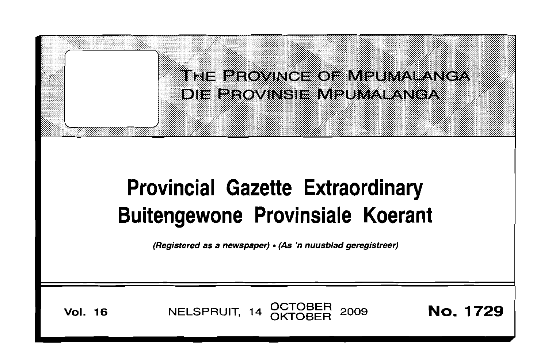

**Vol. 16** 

NELSPRUIT, 14 OCTOBER 2009

**No. 1729**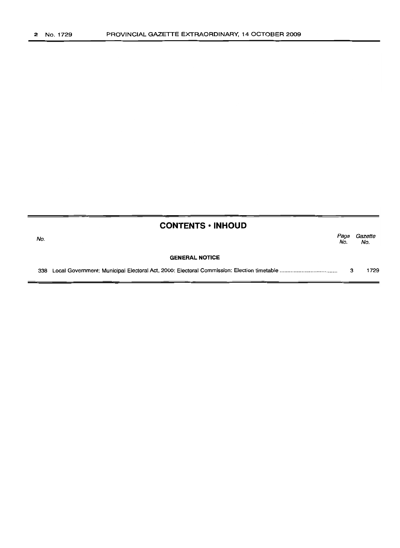|     | <b>CONTENTS • INHOUD</b> |             |                |
|-----|--------------------------|-------------|----------------|
| No. |                          | Page<br>No. | Gazette<br>No. |
|     | <b>GENERAL NOTICE</b>    |             |                |
| 338 |                          |             | 1729           |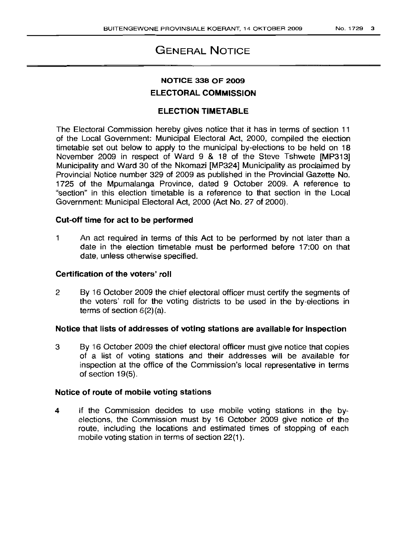# GENERAL NOTICE

## NOTICE 338 OF 2009 ELECTORAL COMMISSION

## ELECTION TIMETABLE

The Electoral Commission hereby gives notice that it has in terms of section 11 of the Local Government: Municipal Electoral Act, 2000, compiled the election timetable set out below to apply to the municipal by-elections to be held on 18 November 2009 in respect of Ward 9 & 18 of the Steve Tshwete [MP313] Municipality and Ward 30 of the Nkomazi [MP324] Municipality as proclaimed by Provincial Notice number 329 of 2009 as published in the Provincial Gazette No. 1725 of the Mpumalanga Province, dated 9 October 2009. A reference to "section" in this election timetable is a reference to that section in the Local Government: Municipal Electoral Act, 2000 (Act No. 27 of 2000).

### Cut-off time for act to be performed

1 An act required in terms of this Act to be performed by not later than a date in the election timetable must be performed before 17:00 on that date, unless otherwise specified.

#### Certification of the voters' roll

2 By 16 October 2009 the chief electoral officer must certify the segments of the voters' roll for the voting districts to be used in the by-elections in terms of section 6(2)(a).

### Notice that lists of addresses of voting stations are available for inspection

3 By 16 October 2009 the chief electoral officer must give notice that copies of a list of voting stations and their addresses will be available for inspection at the office of the Commission's local representative in terms of section 19(5).

#### Notice of route of mobile voting stations

4 If the Commission decides to use mobile voting stations in the byelections, the Commission must by 16 October 2009 give notice of the route, including the locations and estimated times of stopping of each mobile voting station in terms of section 22(1).